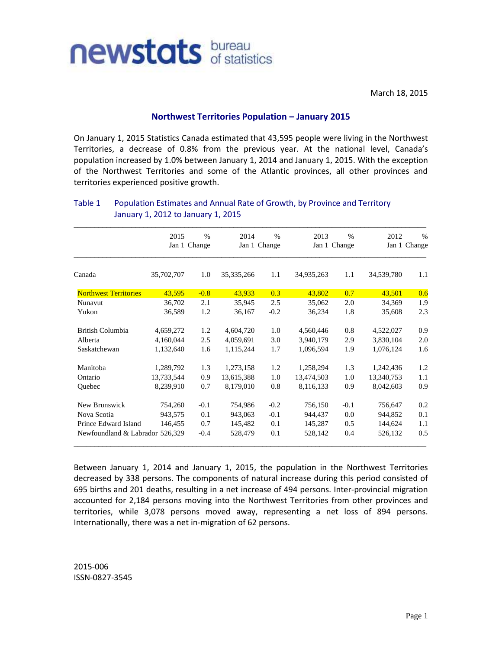

March 18, 2015

## **Northwest Territories Population – January 2015**

On January 1, 2015 Statistics Canada estimated that 43,595 people were living in the Northwest Territories, a decrease of 0.8% from the previous year. At the national level, Canada's population increased by 1.0% between January 1, 2014 and January 1, 2015. With the exception of the Northwest Territories and some of the Atlantic provinces, all other provinces and territories experienced positive growth.

|                                 | 2015         | $\%$   | 2014         | $\%$   | 2013            | $\frac{0}{0}$ | 2012       | $\frac{0}{0}$ |
|---------------------------------|--------------|--------|--------------|--------|-----------------|---------------|------------|---------------|
|                                 | Jan 1 Change |        | Jan 1 Change |        | Jan 1<br>Change |               |            | Jan 1 Change  |
| Canada                          | 35,702,707   | 1.0    | 35, 335, 266 | 1.1    | 34,935,263      | 1.1           | 34,539,780 | 1.1           |
| <b>Northwest Territories</b>    | 43,595       | $-0.8$ | 43,933       | 0.3    | 43,802          | 0.7           | 43,501     | 0.6           |
| Nunavut                         | 36,702       | 2.1    | 35,945       | 2.5    | 35,062          | 2.0           | 34,369     | 1.9           |
| Yukon                           | 36,589       | 1.2    | 36,167       | $-0.2$ | 36,234          | 1.8           | 35,608     | 2.3           |
| British Columbia                | 4,659,272    | 1.2    | 4,604,720    | 1.0    | 4,560,446       | 0.8           | 4,522,027  | 0.9           |
| Alberta                         | 4,160,044    | 2.5    | 4,059,691    | 3.0    | 3,940,179       | 2.9           | 3,830,104  | 2.0           |
| Saskatchewan                    | 1,132,640    | 1.6    | 1,115,244    | 1.7    | 1,096,594       | 1.9           | 1,076,124  | 1.6           |
| Manitoba                        | 1,289,792    | 1.3    | 1,273,158    | 1.2    | 1,258,294       | 1.3           | 1,242,436  | 1.2           |
| Ontario                         | 13,733,544   | 0.9    | 13,615,388   | 1.0    | 13,474,503      | 1.0           | 13,340,753 | 1.1           |
| Quebec                          | 8,239,910    | 0.7    | 8,179,010    | 0.8    | 8,116,133       | 0.9           | 8,042,603  | 0.9           |
| New Brunswick                   | 754,260      | $-0.1$ | 754,986      | $-0.2$ | 756,150         | $-0.1$        | 756,647    | 0.2           |
| Nova Scotia                     | 943,575      | 0.1    | 943,063      | $-0.1$ | 944,437         | 0.0           | 944,852    | 0.1           |
| Prince Edward Island            | 146,455      | 0.7    | 145,482      | 0.1    | 145,287         | 0.5           | 144,624    | 1.1           |
| Newfoundland & Labrador 526,329 |              | $-0.4$ | 528,479      | 0.1    | 528,142         | 0.4           | 526,132    | 0.5           |

## Table 1 Population Estimates and Annual Rate of Growth, by Province and Territory January 1, 2012 to January 1, 2015

Between January 1, 2014 and January 1, 2015, the population in the Northwest Territories decreased by 338 persons. The components of natural increase during this period consisted of 695 births and 201 deaths, resulting in a net increase of 494 persons. Inter-provincial migration accounted for 2,184 persons moving into the Northwest Territories from other provinces and territories, while 3,078 persons moved away, representing a net loss of 894 persons. Internationally, there was a net in-migration of 62 persons.

2015-006 ISSN-0827-3545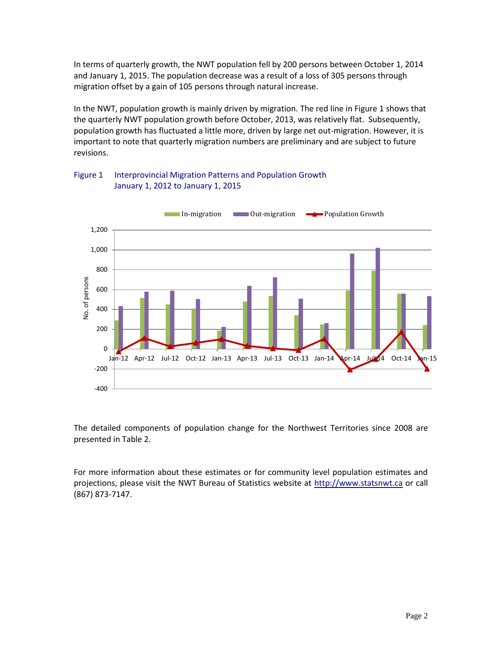In terms of quarterly growth, the NWT population fell by 200 persons between October 1, 2014 and January 1, 2015. The population decrease was a result of a loss of 305 persons through migration offset by a gain of 105 persons through natural increase.

In the NWT, population growth is mainly driven by migration. The red line in Figure 1 shows that the quarterly NWT population growth before October, 2013, was relatively flat. Subsequently, population growth has fluctuated a little more, driven by large net out-migration. However, it is important to note that quarterly migration numbers are preliminary and are subject to future revisions.



## Figure 1 Interprovincial Migration Patterns and Population Growth January 1, 2012 to January 1, 2015

The detailed components of population change for the Northwest Territories since 2008 are presented in Table 2.

For more information about these estimates or for community level population estimates and projections, please visit the NWT Bureau of Statistics website at http://www.statsnwt.ca or call (867) 873-7147.